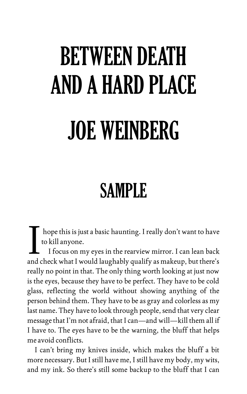## BETWEEN DEATH AND A HARD PLACE JOE WEINBERG

## **SAMPLE**

 hope this is just a basic haunting. I really don't want to have to kill anyone.

I focus on my eyes in the rearview mirror. I can lean back hope this is just a basic haunting. I really don't want to have<br>to kill anyone.<br>I focus on my eyes in the rearview mirror. I can lean back<br>and check what I would laughably qualify as makeup, but there's really no point in that. The only thing worth looking at just now is the eyes, because they have to be perfect. They have to be cold glass, reflecting the world without showing anything of the person behind them. They have to be as gray and colorless as my last name. They have to look through people, send that very clear message that I'm not afraid, that I can—and will—kill them all if I have to. The eyes have to be the warning, the bluff that helps me avoid conflicts.

I can't bring my knives inside, which makes the bluff a bit more necessary. But I still have me, I still have my body, my wits, and my ink. So there's still some backup to the bluff that I can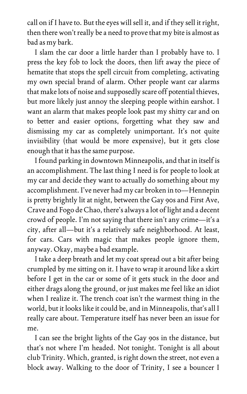call on if I have to. But the eyes will sell it, and if they sell it right, then there won't really be a need to prove that my bite is almost as bad as my bark.

I slam the car door a little harder than I probably have to. I press the key fob to lock the doors, then lift away the piece of hematite that stops the spell circuit from completing, activating my own special brand of alarm. Other people want car alarms that make lots of noise and supposedly scare off potential thieves, but more likely just annoy the sleeping people within earshot. I want an alarm that makes people look past my shitty car and on to better and easier options, forgetting what they saw and dismissing my car as completely unimportant. It's not quite invisibility (that would be more expensive), but it gets close enough that it has the same purpose.

I found parking in downtown Minneapolis, and that in itself is an accomplishment. The last thing I need is for people to look at my car and decide they want to actually do something about my accomplishment. I've never had my car broken in to—Hennepin is pretty brightly lit at night, between the Gay 90s and First Ave, Crave and Fogo de Chao, there's always a lot of light and a decent crowd of people. I'm not saying that there isn't any crime—it's a city, after all—but it's a relatively safe neighborhood. At least, for cars. Cars with magic that makes people ignore them, anyway. Okay, maybe a bad example.

I take a deep breath and let my coat spread out a bit after being crumpled by me sitting on it. I have to wrap it around like a skirt before I get in the car or some of it gets stuck in the door and either drags along the ground, or just makes me feel like an idiot when I realize it. The trench coat isn't the warmest thing in the world, but it looks like it could be, and in Minneapolis, that's all I really care about. Temperature itself has never been an issue for me.

I can see the bright lights of the Gay 90s in the distance, but that's not where I'm headed. Not tonight. Tonight is all about club Trinity. Which, granted, is right down the street, not even a block away. Walking to the door of Trinity, I see a bouncer I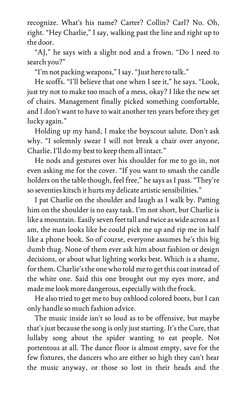recognize. What's his name? Carter? Collin? Carl? No. Oh, right. "Hey Charlie," I say, walking past the line and right up to the door.

"AJ," he says with a slight nod and a frown. "Do I need to search you?"

"I'm not packing weapons," I say. "Just here to talk."

He scoffs. "I'll believe that one when I see it," he says. "Look, just try not to make too much of a mess, okay? I like the new set of chairs. Management finally picked something comfortable, and I don't want to have to wait another ten years before they get lucky again."

Holding up my hand, I make the boyscout salute. Don't ask why. "I solemnly swear I will not break a chair over anyone, Charlie. I'll do my best to keep them all intact."

He nods and gestures over his shoulder for me to go in, not even asking me for the cover. "If you want to smash the candle holders on the table though, feel free," he says as I pass. "They're so seventies kitsch it hurts my delicate artistic sensibilities."

I pat Charlie on the shoulder and laugh as I walk by. Patting him on the shoulder is no easy task. I'm not short, but Charlie is like a mountain. Easily seven feet tall and twice as wide across as I am, the man looks like he could pick me up and rip me in half like a phone book. So of course, everyone assumes he's this big dumb thug. None of them ever ask him about fashion or design decisions, or about what lighting works best. Which is a shame, for them. Charlie's the one who told me to get this coat instead of the white one. Said this one brought out my eyes more, and made me look more dangerous, especially with the frock.

He also tried to get me to buy oxblood colored boots, but I can only handle so much fashion advice.

The music inside isn't so loud as to be offensive, but maybe that's just because the song is only just starting. It's the Cure, that lullaby song about the spider wanting to eat people. Not portentous at all. The dance floor is almost empty, save for the few fixtures, the dancers who are either so high they can't hear the music anyway, or those so lost in their heads and the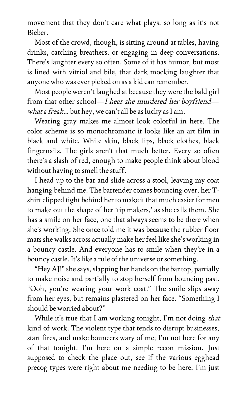movement that they don't care what plays, so long as it's not Bieber.

Most of the crowd, though, is sitting around at tables, having drinks, catching breathers, or engaging in deep conversations. There's laughter every so often. Some of it has humor, but most is lined with vitriol and bile, that dark mocking laughter that anyone who was ever picked on as a kid can remember.

Most people weren't laughed at because they were the bald girl from that other school—I hear she murdered her boyfriend what a freak... but hey, we can't all be as lucky as I am.

Wearing gray makes me almost look colorful in here. The color scheme is so monochromatic it looks like an art film in black and white. White skin, black lips, black clothes, black fingernails. The girls aren't that much better. Every so often there's a slash of red, enough to make people think about blood without having to smell the stuff.

I head up to the bar and slide across a stool, leaving my coat hanging behind me. The bartender comes bouncing over, her Tshirt clipped tight behind her to make it that much easier for men to make out the shape of her 'tip makers,' as she calls them. She has a smile on her face, one that always seems to be there when she's working. She once told me it was because the rubber floor mats she walks across actually make her feel like she's working in a bouncy castle. And everyone has to smile when they're in a bouncy castle. It's like a rule of the universe or something.

"Hey AJ!" she says, slapping her hands on the bar top, partially to make noise and partially to stop herself from bouncing past. "Ooh, you're wearing your work coat." The smile slips away from her eyes, but remains plastered on her face. "Something I should be worried about?"

While it's true that I am working tonight, I'm not doing that kind of work. The violent type that tends to disrupt businesses, start fires, and make bouncers wary of me; I'm not here for any of that tonight. I'm here on a simple recon mission. Just supposed to check the place out, see if the various egghead precog types were right about me needing to be here. I'm just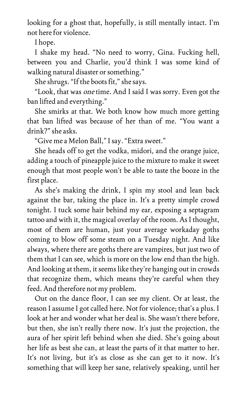looking for a ghost that, hopefully, is still mentally intact. I'm not here for violence.

I hope.

I shake my head. "No need to worry, Gina. Fucking hell, between you and Charlie, you'd think I was some kind of walking natural disaster or something."

She shrugs. "If the boots fit," she says.

"Look, that was one time. And I said I was sorry. Even got the ban lifted and everything."

She smirks at that. We both know how much more getting that ban lifted was because of her than of me. "You want a drink?" she asks.

"Give me a Melon Ball," I say. "Extra sweet."

She heads off to get the vodka, midori, and the orange juice, adding a touch of pineapple juice to the mixture to make it sweet enough that most people won't be able to taste the booze in the first place.

As she's making the drink, I spin my stool and lean back against the bar, taking the place in. It's a pretty simple crowd tonight. I tuck some hair behind my ear, exposing a septagram tattoo and with it, the magical overlay of the room. As I thought, most of them are human, just your average workaday goths coming to blow off some steam on a Tuesday night. And like always, where there are goths there are vampires, but just two of them that I can see, which is more on the low end than the high. And looking at them, it seems like they're hanging out in crowds that recognize them, which means they're careful when they feed. And therefore not my problem.

Out on the dance floor, I can see my client. Or at least, the reason I assume I got called here. Not for violence; that's a plus. I look at her and wonder what her deal is. She wasn't there before, but then, she isn't really there now. It's just the projection, the aura of her spirit left behind when she died. She's going about her life as best she can, at least the parts of it that matter to her. It's not living, but it's as close as she can get to it now. It's something that will keep her sane, relatively speaking, until her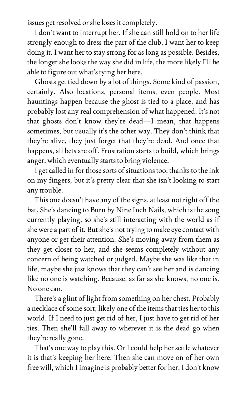issues get resolved or she loses it completely.

I don't want to interrupt her. If she can still hold on to her life strongly enough to dress the part of the club, I want her to keep doing it. I want her to stay strong for as long as possible. Besides, the longer she looks the way she did in life, the more likely I'll be able to figure out what's tying her here.

Ghosts get tied down by a lot of things. Some kind of passion, certainly. Also locations, personal items, even people. Most hauntings happen because the ghost is tied to a place, and has probably lost any real comprehension of what happened. It's not that ghosts don't know they're dead—I mean, that happens sometimes, but usually it's the other way. They don't think that they're alive, they just forget that they're dead. And once that happens, all bets are off. Frustration starts to build, which brings anger, which eventually starts to bring violence.

I get called in for those sorts of situations too, thanks to the ink on my fingers, but it's pretty clear that she isn't looking to start any trouble.

This one doesn't have any of the signs, at least not right off the bat. She's dancing to Burn by Nine Inch Nails, which is the song currently playing, so she's still interacting with the world as if she were a part of it. But she's not trying to make eye contact with anyone or get their attention. She's moving away from them as they get closer to her, and she seems completely without any concern of being watched or judged. Maybe she was like that in life, maybe she just knows that they can't see her and is dancing like no one is watching. Because, as far as she knows, no one is. No one can.

There's a glint of light from something on her chest. Probably a necklace of some sort, likely one of the items that ties her to this world. If I need to just get rid of her, I just have to get rid of her ties. Then she'll fall away to wherever it is the dead go when they're really gone.

That's one way to play this. Or I could help her settle whatever it is that's keeping her here. Then she can move on of her own free will, which I imagine is probably better for her. I don't know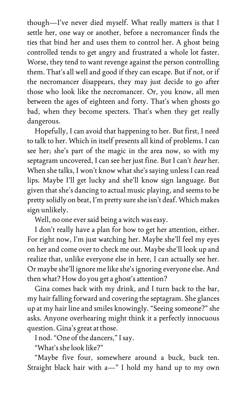though—I've never died myself. What really matters is that I settle her, one way or another, before a necromancer finds the ties that bind her and uses them to control her. A ghost being controlled tends to get angry and frustrated a whole lot faster. Worse, they tend to want revenge against the person controlling them. That's all well and good if they can escape. But if not, or if the necromancer disappears, they may just decide to go after those who look like the necromancer. Or, you know, all men between the ages of eighteen and forty. That's when ghosts go bad, when they become specters. That's when they get really dangerous.

Hopefully, I can avoid that happening to her. But first, I need to talk to her. Which in itself presents all kind of problems. I can see her; she's part of the magic in the area now, so with my septagram uncovered, I can see her just fine. But I can't hear her. When she talks, I won't know what she's saying unless I can read lips. Maybe I'll get lucky and she'll know sign language. But given that she's dancing to actual music playing, and seems to be pretty solidly on beat, I'm pretty sure she isn't deaf. Which makes sign unlikely.

Well, no one ever said being a witch was easy.

I don't really have a plan for how to get her attention, either. For right now, I'm just watching her. Maybe she'll feel my eyes on her and come over to check me out. Maybe she'll look up and realize that, unlike everyone else in here, I can actually see her. Or maybe she'll ignore me like she's ignoring everyone else. And then what? How do you get a ghost's attention?

Gina comes back with my drink, and I turn back to the bar, my hair falling forward and covering the septagram. She glances up at my hair line and smiles knowingly. "Seeing someone?" she asks. Anyone overhearing might think it a perfectly innocuous question. Gina's great at those.

I nod. "One of the dancers," I say.

"What's she look like?"

"Maybe five four, somewhere around a buck, buck ten. Straight black hair with a—" I hold my hand up to my own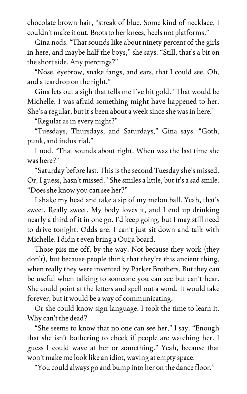chocolate brown hair, "streak of blue. Some kind of necklace, I couldn't make it out. Boots to her knees, heels not platforms."

Gina nods. "That sounds like about ninety percent of the girls in here, and maybe half the boys," she says. "Still, that's a bit on the short side. Any piercings?"

"Nose, eyebrow, snake fangs, and ears, that I could see. Oh, and a teardrop on the right."

Gina lets out a sigh that tells me I've hit gold. "That would be Michelle. I was afraid something might have happened to her. She's a regular, but it's been about a week since she was in here."

"Regular as in every night?"

"Tuesdays, Thursdays, and Saturdays," Gina says. "Goth, punk, and industrial."

I nod. "That sounds about right. When was the last time she was here?"

"Saturday before last. This is the second Tuesday she's missed. Or, I guess, hasn't missed." She smiles a little, but it's a sad smile. "Does she know you can see her?"

I shake my head and take a sip of my melon ball. Yeah, that's sweet. Really sweet. My body loves it, and I end up drinking nearly a third of it in one go. I'd keep going, but I may still need to drive tonight. Odds are, I can't just sit down and talk with Michelle. I didn't even bring a Ouija board.

Those piss me off, by the way. Not because they work (they don't), but because people think that they're this ancient thing, when really they were invented by Parker Brothers. But they can be useful when talking to someone you can see but can't hear. She could point at the letters and spell out a word. It would take forever, but it would be a way of communicating.

Or she could know sign language. I took the time to learn it. Why can't the dead?

"She seems to know that no one can see her," I say. "Enough that she isn't bothering to check if people are watching her. I guess I could wave at her or something." Yeah, because that won't make me look like an idiot, waving at empty space.

"You could always go and bump into her on the dance floor."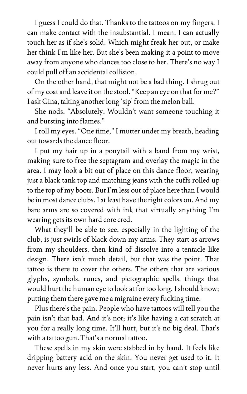I guess I could do that. Thanks to the tattoos on my fingers, I can make contact with the insubstantial. I mean, I can actually touch her as if she's solid. Which might freak her out, or make her think I'm like her. But she's been making it a point to move away from anyone who dances too close to her. There's no way I could pull off an accidental collision.

On the other hand, that might not be a bad thing. I shrug out of my coat and leave it on the stool. "Keep an eye on that for me?" I ask Gina, taking another long 'sip' from the melon ball.

She nods. "Absolutely. Wouldn't want someone touching it and bursting into flames."

I roll my eyes. "One time," I mutter under my breath, heading out towards the dance floor.

I put my hair up in a ponytail with a band from my wrist, making sure to free the septagram and overlay the magic in the area. I may look a bit out of place on this dance floor, wearing just a black tank top and matching jeans with the cuffs rolled up to the top of my boots. But I'm less out of place here than I would be in most dance clubs. I at least have the right colors on. And my bare arms are so covered with ink that virtually anything I'm wearing gets its own hard core cred.

What they'll be able to see, especially in the lighting of the club, is just swirls of black down my arms. They start as arrows from my shoulders, then kind of dissolve into a tentacle like design. There isn't much detail, but that was the point. That tattoo is there to cover the others. The others that are various glyphs, symbols, runes, and pictographic spells, things that would hurt the human eye to look at for too long. I should know; putting them there gave me a migraine every fucking time.

Plus there's the pain. People who have tattoos will tell you the pain isn't that bad. And it's not; it's like having a cat scratch at you for a really long time. It'll hurt, but it's no big deal. That's with a tattoo gun. That's a normal tattoo.

These spells in my skin were stabbed in by hand. It feels like dripping battery acid on the skin. You never get used to it. It never hurts any less. And once you start, you can't stop until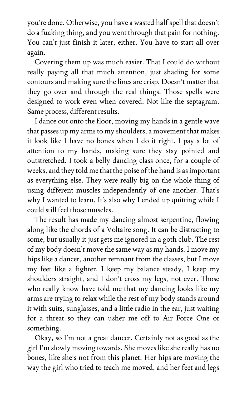you're done. Otherwise, you have a wasted half spell that doesn't do a fucking thing, and you went through that pain for nothing. You can't just finish it later, either. You have to start all over again.

Covering them up was much easier. That I could do without really paying all that much attention, just shading for some contours and making sure the lines are crisp. Doesn't matter that they go over and through the real things. Those spells were designed to work even when covered. Not like the septagram. Same process, different results.

I dance out onto the floor, moving my hands in a gentle wave that passes up my arms to my shoulders, a movement that makes it look like I have no bones when I do it right. I pay a lot of attention to my hands, making sure they stay pointed and outstretched. I took a belly dancing class once, for a couple of weeks, and they told me that the poise of the hand is as important as everything else. They were really big on the whole thing of using different muscles independently of one another. That's why I wanted to learn. It's also why I ended up quitting while I could still feel those muscles.

The result has made my dancing almost serpentine, flowing along like the chords of a Voltaire song. It can be distracting to some, but usually it just gets me ignored in a goth club. The rest of my body doesn't move the same way as my hands. I move my hips like a dancer, another remnant from the classes, but I move my feet like a fighter. I keep my balance steady, I keep my shoulders straight, and I don't cross my legs, not ever. Those who really know have told me that my dancing looks like my arms are trying to relax while the rest of my body stands around it with suits, sunglasses, and a little radio in the ear, just waiting for a threat so they can usher me off to Air Force One or something.

Okay, so I'm not a great dancer. Certainly not as good as the girl I'm slowly moving towards. She moves like she really has no bones, like she's not from this planet. Her hips are moving the way the girl who tried to teach me moved, and her feet and legs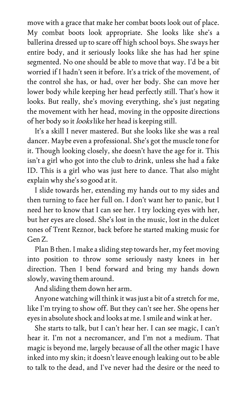move with a grace that make her combat boots look out of place. My combat boots look appropriate. She looks like she's a ballerina dressed up to scare off high school boys. She sways her entire body, and it seriously looks like she has had her spine segmented. No one should be able to move that way. I'd be a bit worried if I hadn't seen it before. It's a trick of the movement, of the control she has, or had, over her body. She can move her lower body while keeping her head perfectly still. That's how it looks. But really, she's moving everything, she's just negating the movement with her head, moving in the opposite directions of her body so it *looks* like her head is keeping still.

It's a skill I never mastered. But she looks like she was a real dancer. Maybe even a professional. She's got the muscle tone for it. Though looking closely, she doesn't have the age for it. This isn't a girl who got into the club to drink, unless she had a fake ID. This is a girl who was just here to dance. That also might explain why she's so good at it.

I slide towards her, extending my hands out to my sides and then turning to face her full on. I don't want her to panic, but I need her to know that I can see her. I try locking eyes with her, but her eyes are closed. She's lost in the music, lost in the dulcet tones of Trent Reznor, back before he started making music for Gen Z.

Plan B then. I make a sliding step towards her, my feet moving into position to throw some seriously nasty knees in her direction. Then I bend forward and bring my hands down slowly, waving them around.

And sliding them down her arm.

Anyone watching will think it was just a bit of a stretch for me, like I'm trying to show off. But they can't see her. She opens her eyes in absolute shock and looks at me. I smile and wink at her.

She starts to talk, but I can't hear her. I can see magic, I can't hear it. I'm not a necromancer, and I'm not a medium. That magic is beyond me, largely because of all the other magic I have inked into my skin; it doesn't leave enough leaking out to be able to talk to the dead, and I've never had the desire or the need to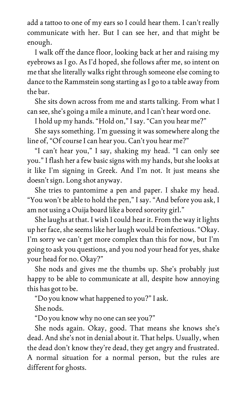add a tattoo to one of my ears so I could hear them. I can't really communicate with her. But I can see her, and that might be enough.

I walk off the dance floor, looking back at her and raising my eyebrows as I go. As I'd hoped, she follows after me, so intent on me that she literally walks right through someone else coming to dance to the Rammstein song starting as I go to a table away from the bar.

She sits down across from me and starts talking. From what I can see, she's going a mile a minute, and I can't hear word one.

I hold up my hands. "Hold on," I say. "Can you hear me?"

She says something. I'm guessing it was somewhere along the line of, "Of course I can hear you. Can't you hear me?"

"I can't hear you," I say, shaking my head. "I can only see you." I flash her a few basic signs with my hands, but she looks at it like I'm signing in Greek. And I'm not. It just means she doesn't sign. Long shot anyway.

She tries to pantomime a pen and paper. I shake my head. "You won't be able to hold the pen," I say. "And before you ask, I am not using a Ouija board like a bored sorority girl."

She laughs at that. I wish I could hear it. From the way it lights up her face, she seems like her laugh would be infectious. "Okay. I'm sorry we can't get more complex than this for now, but I'm going to ask you questions, and you nod your head for yes, shake your head for no. Okay?"

She nods and gives me the thumbs up. She's probably just happy to be able to communicate at all, despite how annoying this has got to be.

"Do you know what happened to you?" I ask.

She nods.

"Do you know why no one can see you?"

She nods again. Okay, good. That means she knows she's dead. And she's not in denial about it. That helps. Usually, when the dead don't know they're dead, they get angry and frustrated. A normal situation for a normal person, but the rules are different for ghosts.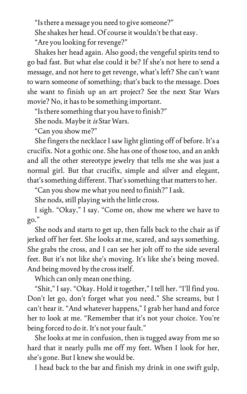"Is there a message you need to give someone?"

She shakes her head. Of course it wouldn't be that easy.

"Are you looking for revenge?"

Shakes her head again. Also good; the vengeful spirits tend to go bad fast. But what else could it be? If she's not here to send a message, and not here to get revenge, what's left? She can't want to warn someone of something; that's back to the message. Does she want to finish up an art project? See the next Star Wars movie? No, it has to be something important.

"Is there something that you have to finish?"

She nods. Maybe it is Star Wars.

"Can you show me?"

She fingers the necklace I saw light glinting off of before. It's a crucifix. Not a gothic one. She has one of those too, and an ankh and all the other stereotype jewelry that tells me she was just a normal girl. But that crucifix, simple and silver and elegant, that's something different. That's something that matters to her.

"Can you show me what you need to finish?" I ask.

She nods, still playing with the little cross.

I sigh. "Okay," I say. "Come on, show me where we have to go."

She nods and starts to get up, then falls back to the chair as if jerked off her feet. She looks at me, scared, and says something. She grabs the cross, and I can see her jolt off to the side several feet. But it's not like she's moving. It's like she's being moved. And being moved by the cross itself.

Which can only mean one thing.

"Shit," I say. "Okay. Hold it together," I tell her. "I'll find you. Don't let go, don't forget what you need." She screams, but I can't hear it. "And whatever happens," I grab her hand and force her to look at me. "Remember that it's not your choice. You're being forced to do it. It's not your fault."

She looks at me in confusion, then is tugged away from me so hard that it nearly pulls me off my feet. When I look for her, she's gone. But I knew she would be.

I head back to the bar and finish my drink in one swift gulp,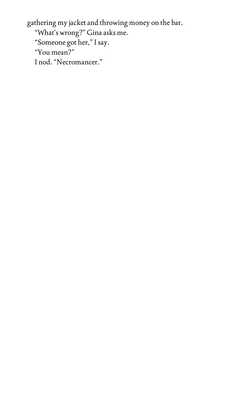gathering my jacket and throwing money on the bar. "What's wrong?" Gina asks me. "Someone got her," I say. "You mean?" I nod. "Necromancer."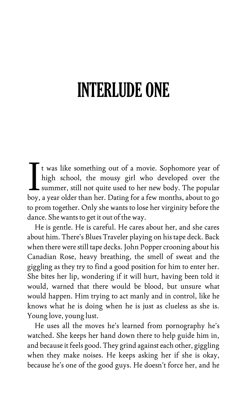## INTERLUDE ONE

t was like something out of a movie. Sophomore year of high school, the mousy girl who developed over the summer, still not quite used to her new body. The popular boy, a year older than her. Dating for a few months, about to go to prom together. Only she wants to lose her virginity before the dance. She wants to get it out of the way.  $\mathbf{l}_{\text{boy},\text{}}$ 

He is gentle. He is careful. He cares about her, and she cares about him. There's Blues Traveler playing on his tape deck. Back when there were still tape decks. John Popper crooning about his Canadian Rose, heavy breathing, the smell of sweat and the giggling as they try to find a good position for him to enter her. She bites her lip, wondering if it will hurt, having been told it would, warned that there would be blood, but unsure what would happen. Him trying to act manly and in control, like he knows what he is doing when he is just as clueless as she is. Young love, young lust.

He uses all the moves he's learned from pornography he's watched. She keeps her hand down there to help guide him in, and because it feels good. They grind against each other, giggling when they make noises. He keeps asking her if she is okay, because he's one of the good guys. He doesn't force her, and he